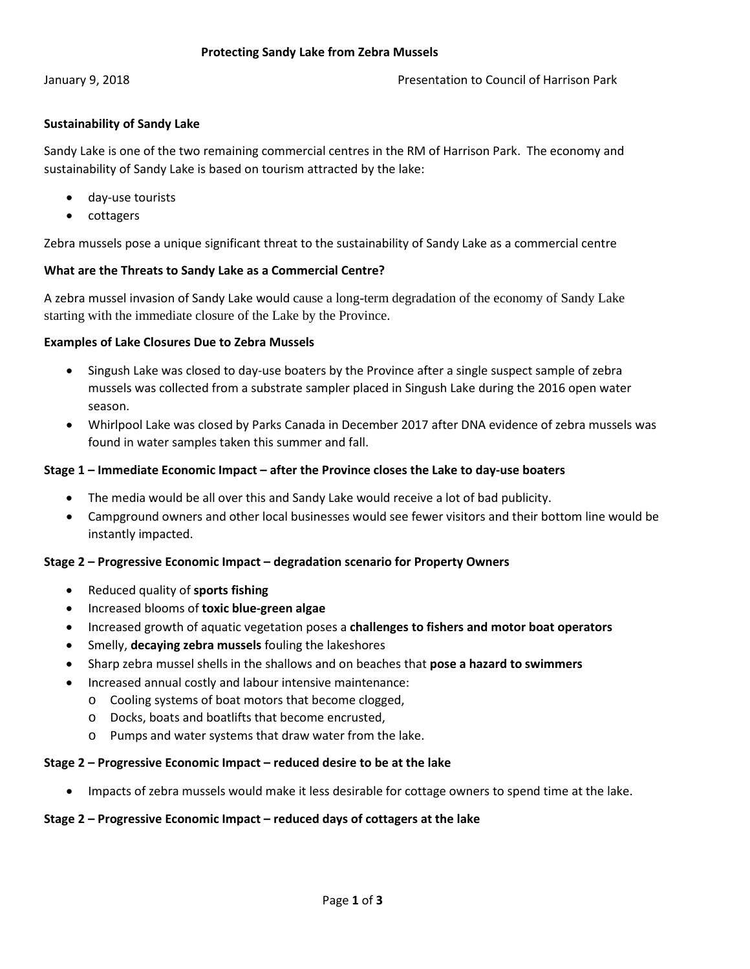# **Sustainability of Sandy Lake**

Sandy Lake is one of the two remaining commercial centres in the RM of Harrison Park. The economy and sustainability of Sandy Lake is based on tourism attracted by the lake:

- day-use tourists
- cottagers

Zebra mussels pose a unique significant threat to the sustainability of Sandy Lake as a commercial centre

### **What are the Threats to Sandy Lake as a Commercial Centre?**

A zebra mussel invasion of Sandy Lake would cause a long-term degradation of the economy of Sandy Lake starting with the immediate closure of the Lake by the Province.

### **Examples of Lake Closures Due to Zebra Mussels**

- Singush Lake was closed to day-use boaters by the Province after a single suspect sample of zebra mussels was collected from a substrate sampler placed in Singush Lake during the 2016 open water season.
- Whirlpool Lake was closed by Parks Canada in December 2017 after DNA evidence of zebra mussels was found in water samples taken this summer and fall.

#### **Stage 1 – Immediate Economic Impact – after the Province closes the Lake to day-use boaters**

- The media would be all over this and Sandy Lake would receive a lot of bad publicity.
- Campground owners and other local businesses would see fewer visitors and their bottom line would be instantly impacted.

#### **Stage 2 – Progressive Economic Impact – degradation scenario for Property Owners**

- Reduced quality of **sports fishing**
- Increased blooms of **toxic blue-green algae**
- Increased growth of aquatic vegetation poses a **challenges to fishers and motor boat operators**
- Smelly, **decaying zebra mussels** fouling the lakeshores
- Sharp zebra mussel shells in the shallows and on beaches that **pose a hazard to swimmers**
- Increased annual costly and labour intensive maintenance:
	- o Cooling systems of boat motors that become clogged,
	- o Docks, boats and boatlifts that become encrusted,
	- o Pumps and water systems that draw water from the lake.

#### **Stage 2 – Progressive Economic Impact – reduced desire to be at the lake**

• Impacts of zebra mussels would make it less desirable for cottage owners to spend time at the lake.

#### **Stage 2 – Progressive Economic Impact – reduced days of cottagers at the lake**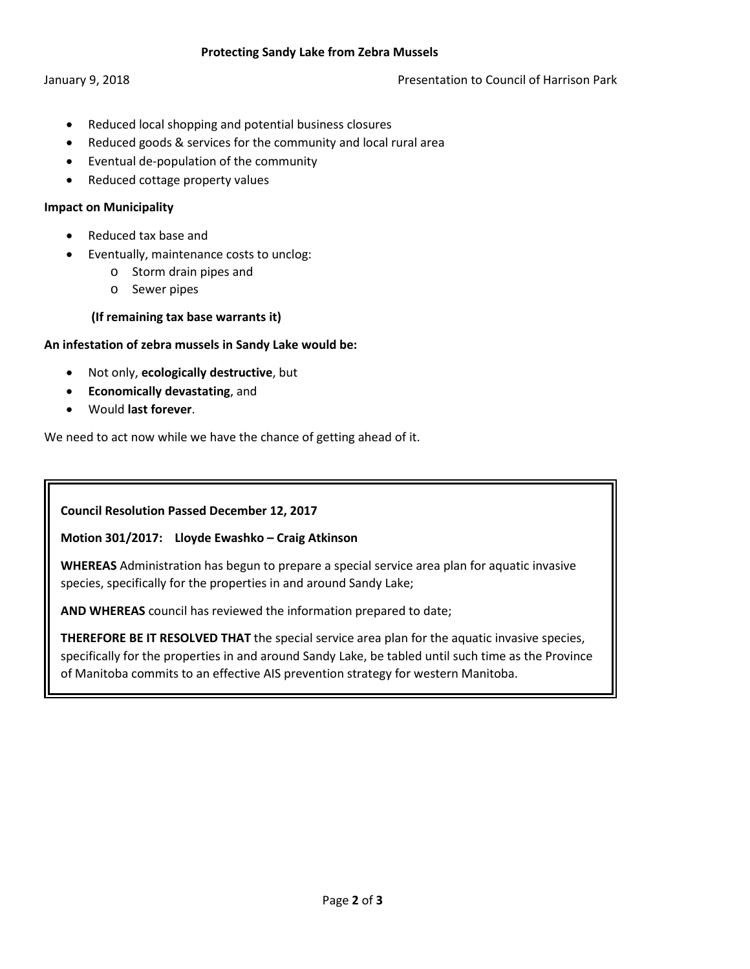### **Protecting Sandy Lake from Zebra Mussels**

### January 9, 2018 **Presentation to Council of Harrison Park** Presentation to Council of Harrison Park

- Reduced local shopping and potential business closures
- Reduced goods & services for the community and local rural area
- Eventual de-population of the community
- Reduced cottage property values

## **Impact on Municipality**

- Reduced tax base and
- Eventually, maintenance costs to unclog:
	- o Storm drain pipes and
	- o Sewer pipes

# **(If remaining tax base warrants it)**

# **An infestation of zebra mussels in Sandy Lake would be:**

- Not only, **ecologically destructive**, but
- **Economically devastating**, and
- Would **last forever**.

We need to act now while we have the chance of getting ahead of it.

**Council Resolution Passed December 12, 2017**

# **Motion 301/2017: Lloyde Ewashko – Craig Atkinson**

**WHEREAS** Administration has begun to prepare a special service area plan for aquatic invasive species, specifically for the properties in and around Sandy Lake;

**AND WHEREAS** council has reviewed the information prepared to date;

**THEREFORE BE IT RESOLVED THAT** the special service area plan for the aquatic invasive species, specifically for the properties in and around Sandy Lake, be tabled until such time as the Province of Manitoba commits to an effective AIS prevention strategy for western Manitoba.